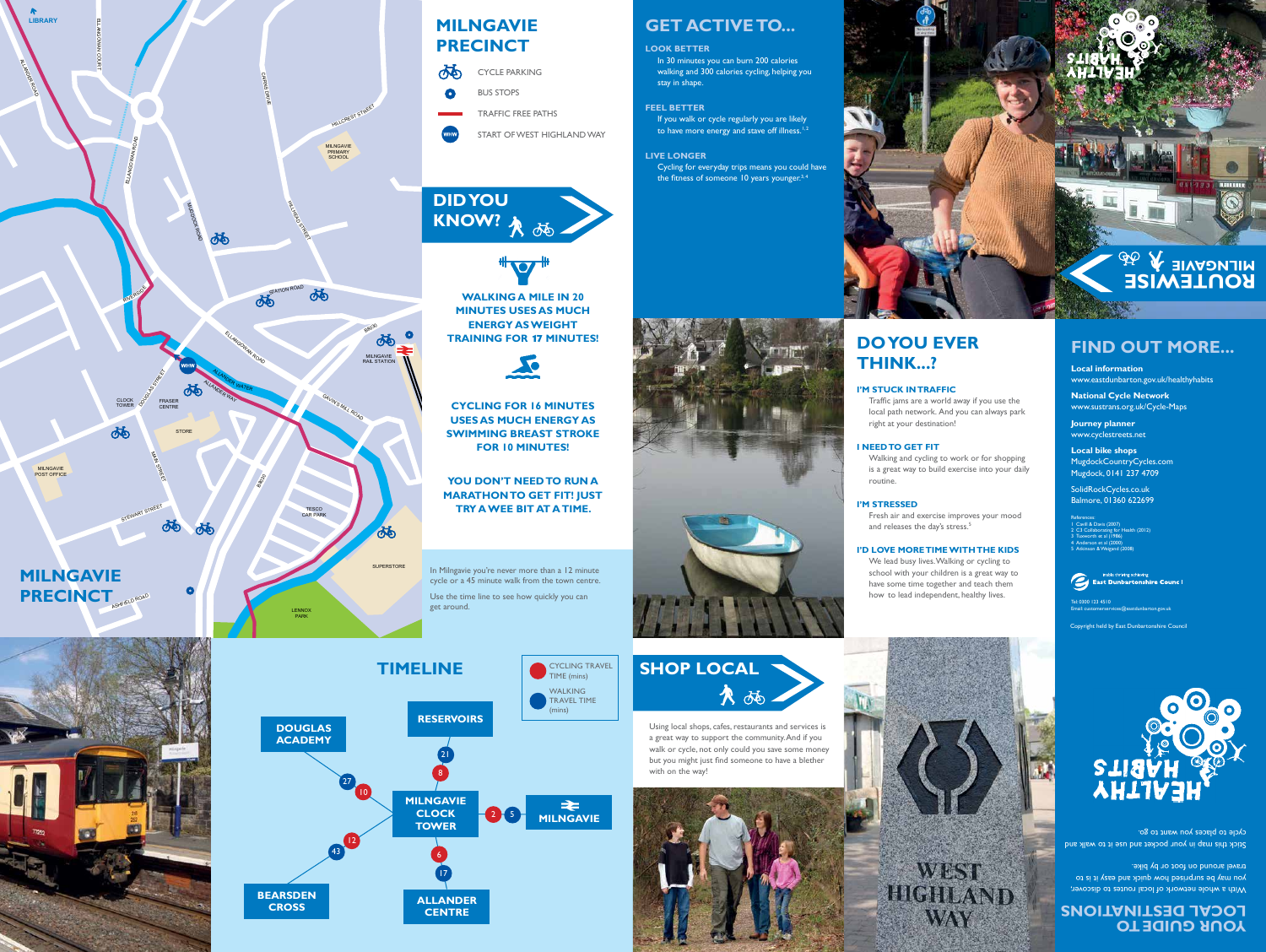**LENNOX** PARK

MILNGAVIE POST OFFICE MILNGAVIE PRIMARY SCHOOL

HILL CREST STREET

**SUPERSTORE** 

MILNGAVIE RAIL STATION

**B8030** 

ELLANGOWAN ROAD

ALLANDER WAY

 $\delta\vec{b}$ 

TESCO CAR PARK

GAVIN'S

MILL ROAD

m LLAz GOWAN COURT

ALL PARTIES

Pola

ALLANDER WATER WATER WATER WATER WATER WATER WATER WATER WATER WATER WATER WATER WATER WATER WATER WATER WATER

**RIVERSIDE** 

CLUCK OF FRASER

DOUGLAS STREET

多乏

STEWART STREET

STREET

In 30 minutes you can burn 200 calories walking and 300 calories cycling, helping you stay in shape.

If you walk or cycle regularly you are likely to have more energy and stave off illness.<sup>1,2</sup>

ELLANGOWAN ROAD

MUGDOCK

ROAD

CLOCK<br>TOWER

西

Cycling for everyday trips means you could have the fitness of someone 10 years younger.<sup>3,4</sup>



CAIRNS

DRIVE

HILLEN BER

STREET

西

88030

**STORE** 

්ර්

# **GET ACTIVE TO...**

### **LOOK BETTER**

Fresh air and exercise improves your mood and releases the day's stress.<sup>5</sup>

**FEEL BETTER** 

### **LIVE LONGER**

# **DO YOU EVER THINK...?**

### **I'M STUCK IN TRAFFIC**

Traffic jams are a world away if you use the local path network. And you can always park right at your destination!

### **I NEED TO GET FIT**

Walking and cycling to work or for shopping is a great way to build exercise into your daily routine.



#### **I'M STRESSED**

#### **I'D LOVE MORETIME WITHTHE KIDS**

With a whole network of local routes to discover, you may be surprised how quick and easy it is to travel around on foot or by bike.

Stick this map in your pocket and use it to walk and cycle to places you want to go.

We lead busy lives.Walking or cycling to school with your children is a great way to have some time together and teach them how to lead independent, healthy lives.

**WEST** 

**HIGHLAND** 

**WAY** 

**WALKING A MILE IN 20 MINUTES USES AS MUCH ENERGY AS WEIGHT TRAINING FOR** 17 **MINUTES!** 



Cavill & Davis (2007) 1 Cavill & Davis (2007) 2 C3 Collaborating for Health (2012) 3 Tuxworth et al (1986) 4 Anderson et al (2000) 5 Atkinson & Weigand (2008)



**CYCLING FOR 16 MINUTES USES AS MUCH ENERGY AS SWIMMING BREAST STROKE FOR 10 MINUTES!** 

**YOU DON'T NEED TO RUN A MARATHON TO GET FIT! JUST TRY A WEE BIT AT A TIME.** 



Using local shops, cafes, restaurants and services is a great way to support the community.And if you walk or cycle, not only could you save some money but you might just find someone to have a blether with on the way!



# **MILNGAVIE PRECINCT**

**CROSS** 





CYCLING TRAVEL

Copyright held by East Dunbartonshire Council





**MILNGAVIE** 

In Milngavie you're never more than a 12 minute cycle or a 45 minute walk from the town centre. Use the time line to see how quickly you can get around.

> **YOUR GUIDE TO LOCAL DESTINATIONS**



### **FIND OUT MORE...**

**Local information**  www.eastdunbarton.gov.uk/healthyhabits

**National Cycle Network**  www.sustrans.org.uk/Cycle-Maps

**Journey planner**  www.cyclestreets.net

**Local bike shops**  MugdockCountryCycles.com Mugdock, 0141 237 4709

SolidRockCycles.co.uk Balmore, 01360 622699

Tel: 0300 123 4510 Email: customerservices@eastdunbarton.gov.uk

| <b>JO</b> | <b>CYCLE PARKING</b>      |
|-----------|---------------------------|
| $\bullet$ | <b>BUS STOPS</b>          |
|           | <b>TRAFFIC FREE PATHS</b> |

START OF WEST HIGHLAND WAY

### DID YOU **KNOW?**  86